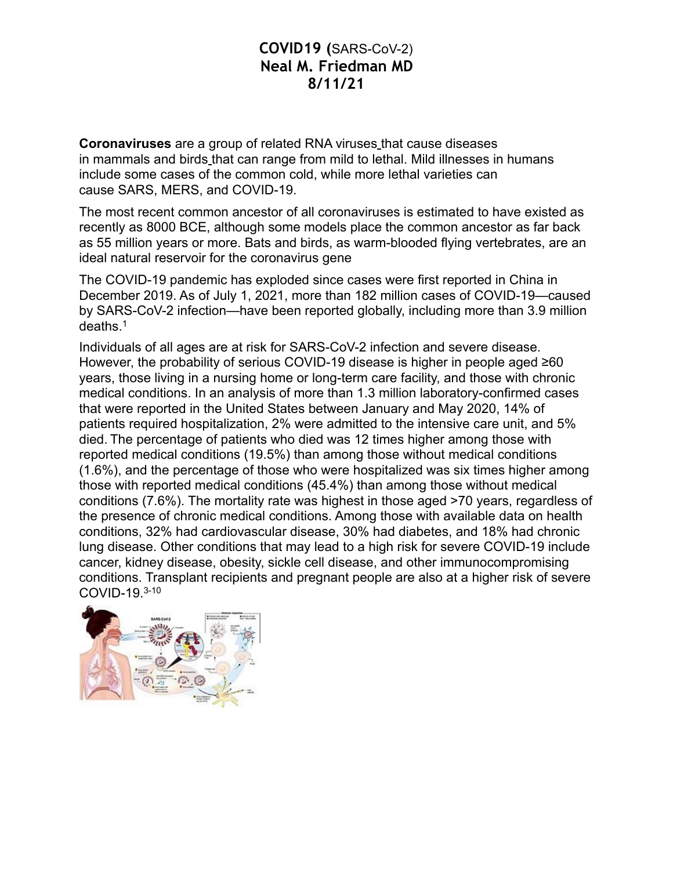**Coronaviruses** are a group of related RNA viruses that cause diseases in mammals and [birds](https://en.wikipedia.org/wiki/Bird) that can range from mild to lethal. Mild illnesses in humans include some cases of the common cold, while more lethal varieties can cause [SARS](https://en.wikipedia.org/wiki/Severe_acute_respiratory_syndrome), MERS, and COVID-19.

The most recent common ancestor of all coronaviruses is estimated to have existed as recently as 8000 BCE, although some models place the common ancestor as far back as 55 million years or more. Bats and birds, as warm-blooded flying vertebrates, are an ideal natural reservoir for the coronavirus gene

The COVID-19 pandemic has exploded since cases were first reported in China in December 2019. As of July 1, 2021, more than 182 million cases of COVID-19—caused by SARS-CoV-2 infection—have been reported globally, including more than 3.9 million deaths.1

Individuals of all ages are at risk for SARS-CoV-2 infection and severe disease. However, the probability of serious COVID-19 disease is higher in people aged ≥60 years, those living in a nursing home or long-term care facility, and those with chronic medical conditions. In an analysis of more than 1.3 million laboratory-confirmed cases that were reported in the United States between January and May 2020, 14% of patients required hospitalization, 2% were admitted to the intensive care unit, and 5% died. The percentage of patients who died was 12 times higher among those with reported medical conditions (19.5%) than among those without medical conditions (1.6%), and the percentage of those who were hospitalized was six times higher among those with reported medical conditions (45.4%) than among those without medical conditions (7.6%). The mortality rate was highest in those aged >70 years, regardless of the presence of chronic medical conditions. Among those with available data on health conditions, 32% had cardiovascular disease, 30% had diabetes, and 18% had chronic lung disease. Other conditions that may lead to a high risk for severe COVID-19 include cancer, kidney disease, obesity, sickle cell disease, and other immunocompromising conditions. Transplant recipients and pregnant people are also at a higher risk of severe COVID-19.3-10

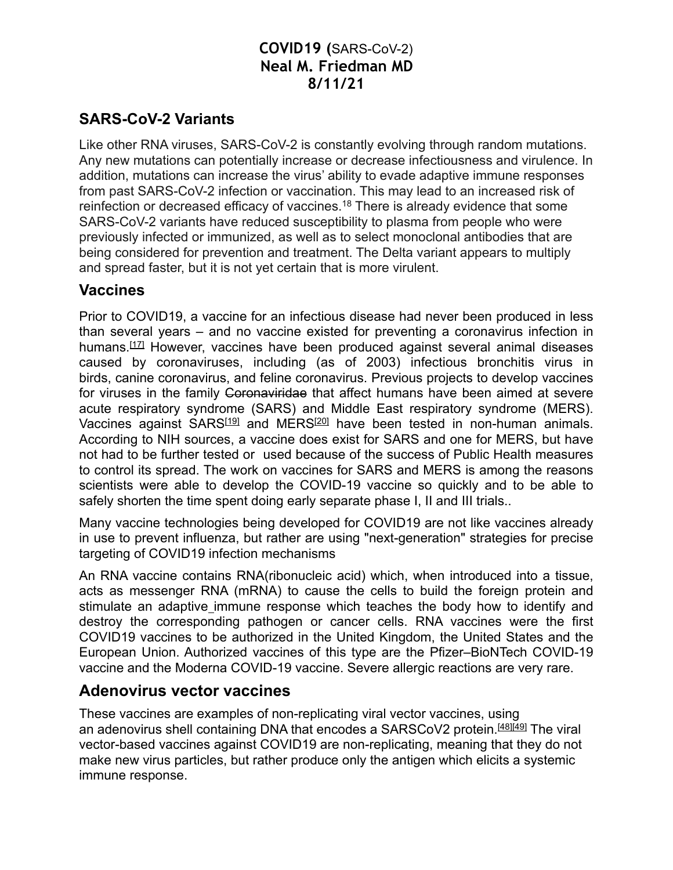#### **SARS-CoV-2 Variants**

Like other RNA viruses, SARS-CoV-2 is constantly evolving through random mutations. Any new mutations can potentially increase or decrease infectiousness and virulence. In addition, mutations can increase the virus' ability to evade adaptive immune responses from past SARS-CoV-2 infection or vaccination. This may lead to an increased risk of reinfection or decreased efficacy of vaccines.18 There is already evidence that some SARS-CoV-2 variants have reduced susceptibility to plasma from people who were previously infected or immunized, as well as to select monoclonal antibodies that are being considered for prevention and treatment. The Delta variant appears to multiply and spread faster, but it is not yet certain that is more virulent.

#### **Vaccines**

Prior to COVID19, a vaccine for an infectious disease had never been produced in less than several years – and no vaccine existed for preventing a coronavirus infection in humans[.\[17\]](https://en.wikipedia.org/wiki/COVID-19_vaccine#cite_note-gates2-17) However, vaccines have been produced against several animal diseases caused by coronaviruses, including (as of 2003) infectious bronchitis virus in birds, canine coronavirus, and feline coronavirus. Previous projects to develop vaccines for viruses in the family Coronaviridae that affect humans have been aimed at severe acute respiratory syndrome (SARS) and Middle East respiratory syndrome (MERS). Vaccines against SARS<sup>[19]</sup> and MERS<sup>[20]</sup> have been tested in non-human [animals.](https://en.wikipedia.org/wiki/Model_organism) According to NIH sources, a vaccine does exist for SARS and one for MERS, but have not had to be further tested or used because of the success of Public Health measures to control its spread. The work on vaccines for SARS and MERS is among the reasons scientists were able to develop the COVID-19 vaccine so quickly and to be able to safely shorten the time spent doing early separate phase I, II and III trials..

Many vaccine technologies being developed for COVID19 are not like vaccines already in use to prevent influenza, but rather are using "next-generation" strategies for precise targeting of COVID19 infection mechanisms

An RNA vaccine contains RNA(ribonucleic acid) which, when introduced into a tissue, acts as messenger RNA (mRNA) to cause the cells to build the foreign protein and stimulate an adaptive immune response which teaches the body how to identify and destroy the corresponding pathogen or cancer cells. RNA vaccines were the first COVID19 vaccines to be authorized in the United Kingdom, the United States and the European Union. Authorized vaccines of this type are the Pfizer–BioNTech COVID-19 vaccine and the Moderna COVID-19 vaccine. Severe allergic reactions are very rare.

#### **Adenovirus vector vaccines**

These vaccines are examples of non-replicating viral vector vaccines, using an adenovirus shell containing DNA that encodes a SARSCoV2 protein.<sup>[\[48\]](https://en.wikipedia.org/wiki/COVID-19_vaccine#cite_note-vv-gavi-48)[\[49\]](https://en.wikipedia.org/wiki/COVID-19_vaccine#cite_note-49)</sup> The viral vector-based vaccines against COVID19 are non-replicating, meaning that they do not make new virus particles, but rather produce only the antigen which elicits a systemic immune response.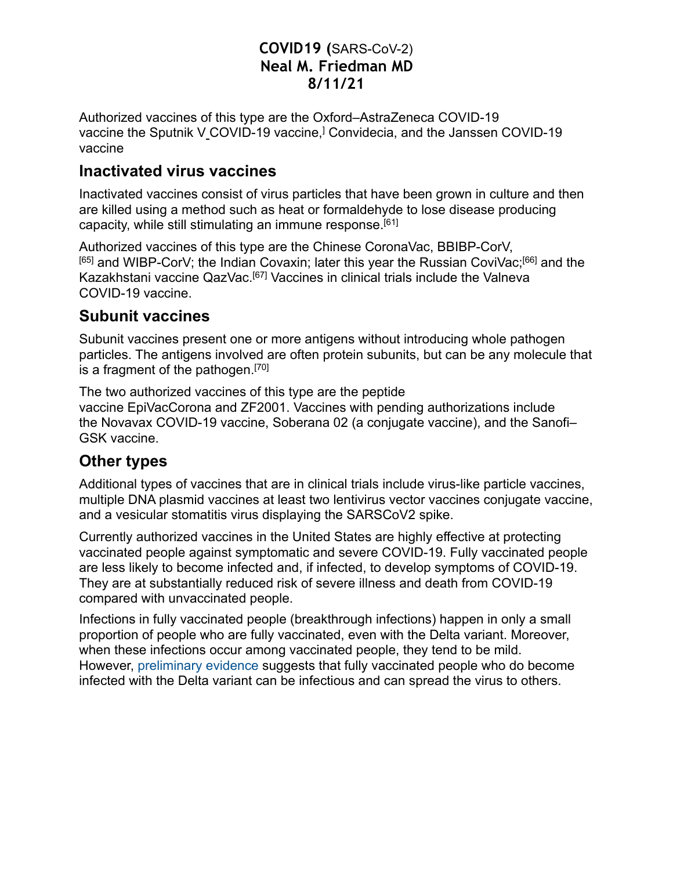Authorized vaccines of this type are the Oxford–AstraZeneca COVID-19 vaccine the Sputnik V\_COVID-19 vaccine,<sup>]</sup> Convidecia, and the Janssen COVID-19 vaccine

#### **Inactivated virus vaccines**

Inactivated vaccines consist of virus particles that have been grown in culture and then are killed using a method such as heat or formaldehyde to lose disease producing capacity, while still stimulating an immune response[.\[61\]](https://en.wikipedia.org/wiki/COVID-19_vaccine#cite_note-PetrovskyAguilar2004-61)

Authorized vaccines of this type are the Chinese CoronaVac, BBIBP-CorV, [\[65\]](https://en.wikipedia.org/wiki/COVID-19_vaccine#cite_note-ChiCTR2000034780-65) and WIBP-CorV; the Indian Covaxin; later this year the Russian CoviVac;[\[66\]](https://en.wikipedia.org/wiki/COVID-19_vaccine#cite_note-66) and the Kazakhstani vaccine QazVac.[\[67\]](https://en.wikipedia.org/wiki/COVID-19_vaccine#cite_note-67) Vaccines in clinical trials include the Valneva COVID-19 vaccine.

## **Subunit vaccines**

Subunit vaccines present one or more antigens without introducing whole pathogen particles. The antigens involved are often protein subunits, but can be any molecule that is a fragment of the pathogen[.\[70\]](https://en.wikipedia.org/wiki/COVID-19_vaccine#cite_note-70)

The two authorized vaccines of this type are the peptide vaccine [EpiVacCorona](https://en.wikipedia.org/wiki/EpiVacCorona) and ZF2001. Vaccines with pending authorizations include the Novavax COVID-19 vaccine, Soberana 02 (a conjugate vaccine), and the Sanofi– GSK vaccine.

# **Other types**

Additional types of vaccines that are in clinical trials include virus-like particle vaccines, multiple DNA plasmid vaccines at least two lentivirus vector vaccines conjugate vaccine, and a vesicular stomatitis virus displaying the SARSCoV2 spike.

Currently authorized vaccines in the United States are highly effective at protecting vaccinated people against symptomatic and severe COVID-19. Fully vaccinated people are less likely to become infected and, if infected, to develop symptoms of COVID-19. They are at substantially reduced risk of severe illness and death from COVID-19 compared with unvaccinated people.

Infections in fully vaccinated people (breakthrough infections) happen in only a small proportion of people who are fully vaccinated, even with the Delta variant. Moreover, when these infections occur among vaccinated people, they tend to be mild. However, preliminary evidence suggests that fully vaccinated people who do become infected with the Delta variant can be infectious and can spread the virus to others.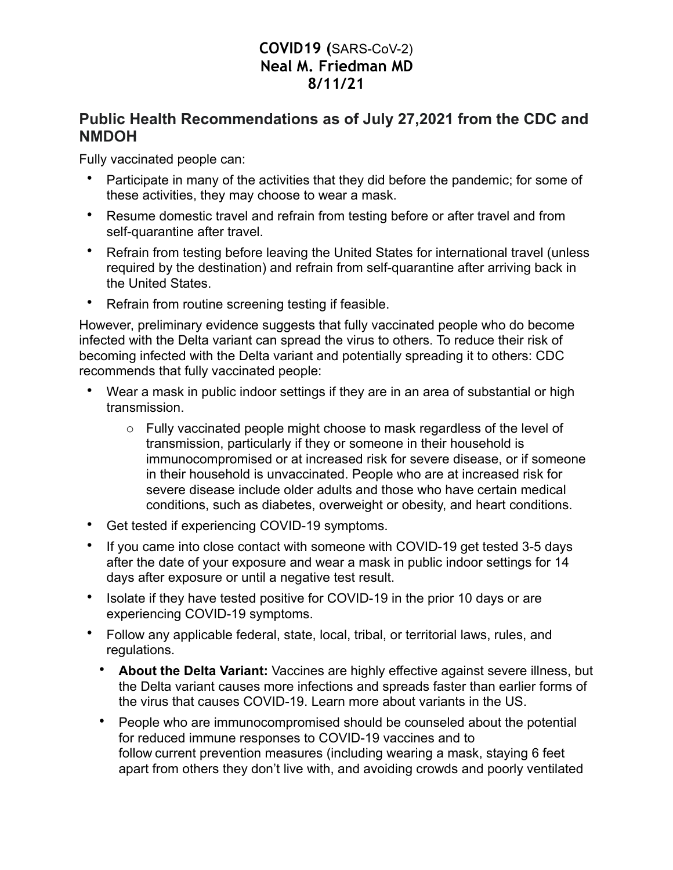#### **Public Health Recommendations as of July 27,2021 from the CDC and NMDOH**

Fully vaccinated people can:

- Participate in many of the activities that they did before the pandemic; for some of these activities, they may choose to wear a mask.
- Resume domestic travel and refrain from testing before or after travel and from self-quarantine after travel.
- Refrain from testing before leaving the United States for international travel (unless required by the destination) and refrain from self-quarantine after arriving back in the United States.
- Refrain from routine screening testing if feasible.

However, preliminary evidence suggests that fully vaccinated people who do become infected with the Delta variant can spread the virus to others. To reduce their risk of becoming infected with the Delta variant and potentially spreading it to others: CDC recommends that fully vaccinated people:

- Wear a mask in public indoor settings if they are in an area of substantial or high transmission.
	- o Fully vaccinated people might choose to mask regardless of the level of transmission, particularly if they or someone in their household is immunocompromised or at increased risk for severe disease, or if someone in their household is unvaccinated. People who are at increased risk for severe disease include older adults and those who have certain medical conditions, such as diabetes, overweight or obesity, and heart conditions.
- Get tested if experiencing COVID-19 symptoms.
- If you came into close contact with someone with COVID-19 get tested 3-5 days after the date of your exposure and wear a mask in public indoor settings for 14 days after exposure or until a negative test result.
- Isolate if they have tested positive for COVID-19 in the prior 10 days or are experiencing COVID-19 symptoms.
- Follow any applicable federal, state, local, tribal, or territorial laws, rules, and regulations.
	- **About the Delta Variant:** Vaccines are highly effective against severe illness, but the Delta variant causes more infections and spreads faster than earlier forms of the virus that causes COVID-19. Learn more about variants in the US.
	- People who are immunocompromised should be counseled about the potential for reduced immune responses to COVID-19 vaccines and to follow current prevention measures (including wearing a mask, staying 6 feet apart from others they don't live with, and avoiding crowds and poorly ventilated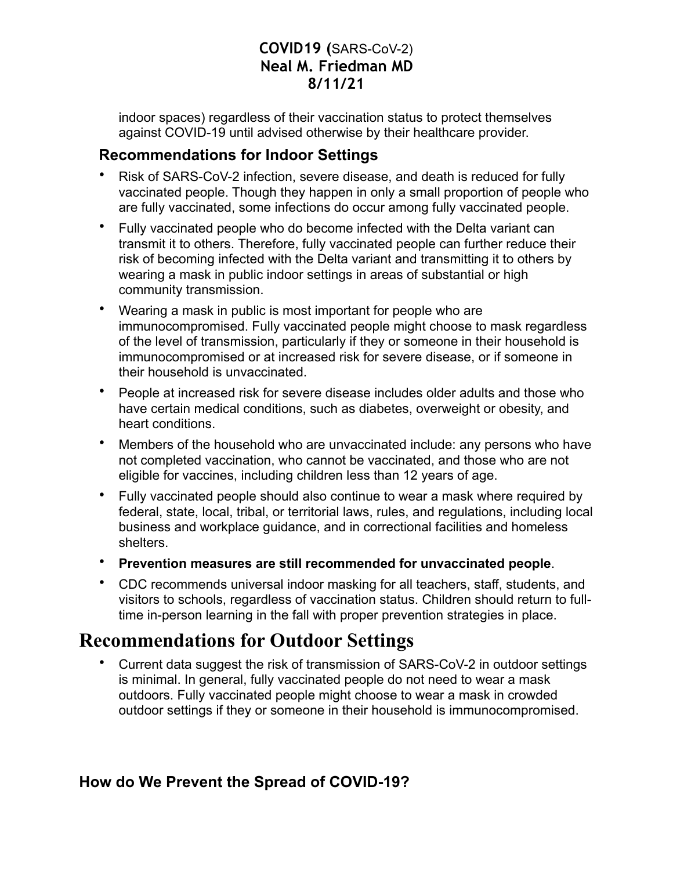indoor spaces) regardless of their vaccination status to protect themselves against COVID-19 until advised otherwise by their healthcare provider.

#### **Recommendations for Indoor Settings**

- Risk of SARS-CoV-2 infection, severe disease, and death is reduced for fully vaccinated people. Though they happen in only a small proportion of people who are fully vaccinated, some infections do occur among fully vaccinated people.
- Fully vaccinated people who do become infected with the Delta variant can transmit it to others. Therefore, fully vaccinated people can further reduce their risk of becoming infected with the Delta variant and transmitting it to others by wearing a mask in public indoor settings in areas of substantial or high community transmission.
- Wearing a mask in public is most important for people who are immunocompromised. Fully vaccinated people might choose to mask regardless of the level of transmission, particularly if they or someone in their household is immunocompromised or at increased risk for severe disease, or if someone in their household is unvaccinated.
- People at increased risk for severe disease includes older adults and those who have certain medical conditions, such as diabetes, overweight or obesity, and heart conditions.
- Members of the household who are unvaccinated include: any persons who have not completed vaccination, who cannot be vaccinated, and those who are not eligible for vaccines, including children less than 12 years of age.
- Fully vaccinated people should also continue to wear a mask where required by federal, state, local, tribal, or territorial laws, rules, and regulations, including local business and workplace guidance, and in correctional facilities and homeless shelters.
- **Prevention measures are still recommended for unvaccinated people**.
- CDC recommends universal indoor masking for all teachers, staff, students, and visitors to schools, regardless of vaccination status. Children should return to fulltime in-person learning in the fall with proper prevention strategies in place.

# **Recommendations for Outdoor Settings**

• Current data suggest the risk of transmission of SARS-CoV-2 in outdoor settings is minimal. In general, fully vaccinated people do not need to wear a mask outdoors. Fully vaccinated people might choose to wear a mask in crowded outdoor settings if they or someone in their household is immunocompromised.

## **How do We Prevent the Spread of COVID-19?**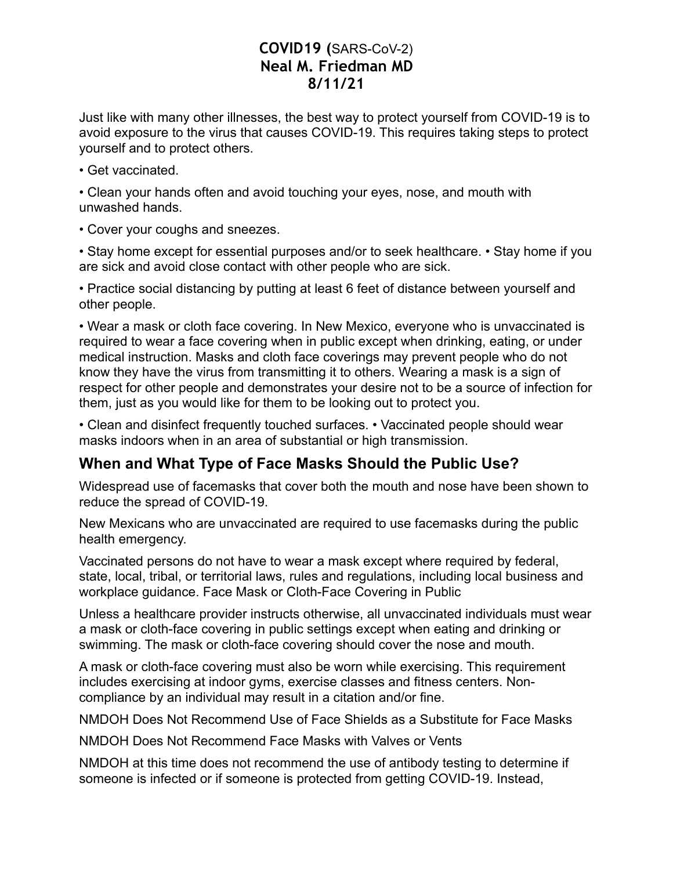Just like with many other illnesses, the best way to protect yourself from COVID-19 is to avoid exposure to the virus that causes COVID-19. This requires taking steps to protect yourself and to protect others.

• Get vaccinated.

• Clean your hands often and avoid touching your eyes, nose, and mouth with unwashed hands.

• Cover your coughs and sneezes.

• Stay home except for essential purposes and/or to seek healthcare. • Stay home if you are sick and avoid close contact with other people who are sick.

• Practice social distancing by putting at least 6 feet of distance between yourself and other people.

• Wear a mask or cloth face covering. In New Mexico, everyone who is unvaccinated is required to wear a face covering when in public except when drinking, eating, or under medical instruction. Masks and cloth face coverings may prevent people who do not know they have the virus from transmitting it to others. Wearing a mask is a sign of respect for other people and demonstrates your desire not to be a source of infection for them, just as you would like for them to be looking out to protect you.

• Clean and disinfect frequently touched surfaces. • Vaccinated people should wear masks indoors when in an area of substantial or high transmission.

## **When and What Type of Face Masks Should the Public Use?**

Widespread use of facemasks that cover both the mouth and nose have been shown to reduce the spread of COVID-19.

New Mexicans who are unvaccinated are required to use facemasks during the public health emergency.

Vaccinated persons do not have to wear a mask except where required by federal, state, local, tribal, or territorial laws, rules and regulations, including local business and workplace guidance. Face Mask or Cloth-Face Covering in Public

Unless a healthcare provider instructs otherwise, all unvaccinated individuals must wear a mask or cloth-face covering in public settings except when eating and drinking or swimming. The mask or cloth-face covering should cover the nose and mouth.

A mask or cloth-face covering must also be worn while exercising. This requirement includes exercising at indoor gyms, exercise classes and fitness centers. Noncompliance by an individual may result in a citation and/or fine.

NMDOH Does Not Recommend Use of Face Shields as a Substitute for Face Masks

NMDOH Does Not Recommend Face Masks with Valves or Vents

NMDOH at this time does not recommend the use of antibody testing to determine if someone is infected or if someone is protected from getting COVID-19. Instead,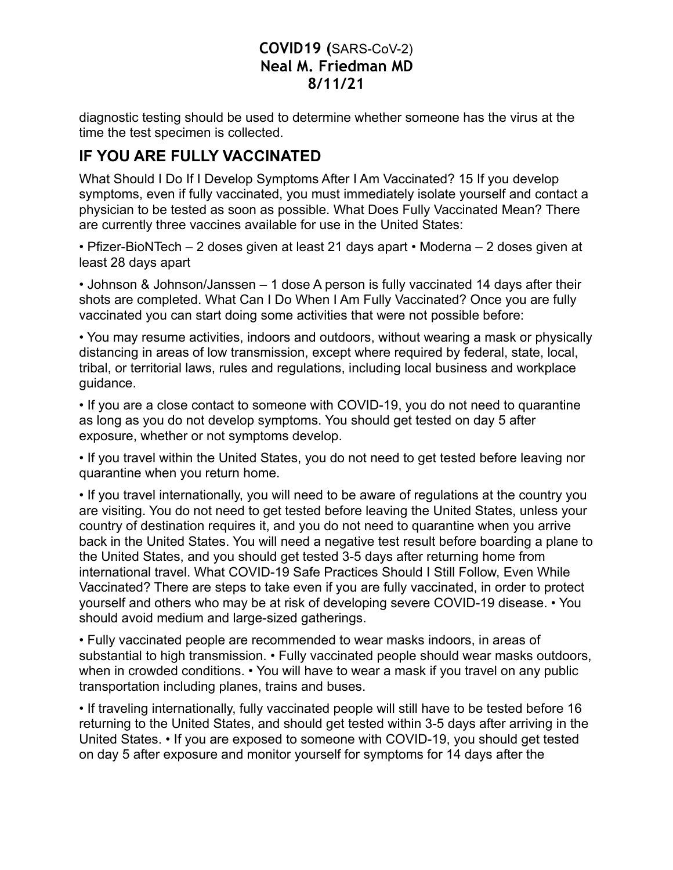diagnostic testing should be used to determine whether someone has the virus at the time the test specimen is collected.

## **IF YOU ARE FULLY VACCINATED**

What Should I Do If I Develop Symptoms After I Am Vaccinated? 15 If you develop symptoms, even if fully vaccinated, you must immediately isolate yourself and contact a physician to be tested as soon as possible. What Does Fully Vaccinated Mean? There are currently three vaccines available for use in the United States:

• Pfizer-BioNTech – 2 doses given at least 21 days apart • Moderna – 2 doses given at least 28 days apart

• Johnson & Johnson/Janssen – 1 dose A person is fully vaccinated 14 days after their shots are completed. What Can I Do When I Am Fully Vaccinated? Once you are fully vaccinated you can start doing some activities that were not possible before:

• You may resume activities, indoors and outdoors, without wearing a mask or physically distancing in areas of low transmission, except where required by federal, state, local, tribal, or territorial laws, rules and regulations, including local business and workplace guidance.

• If you are a close contact to someone with COVID-19, you do not need to quarantine as long as you do not develop symptoms. You should get tested on day 5 after exposure, whether or not symptoms develop.

• If you travel within the United States, you do not need to get tested before leaving nor quarantine when you return home.

• If you travel internationally, you will need to be aware of regulations at the country you are visiting. You do not need to get tested before leaving the United States, unless your country of destination requires it, and you do not need to quarantine when you arrive back in the United States. You will need a negative test result before boarding a plane to the United States, and you should get tested 3-5 days after returning home from international travel. What COVID-19 Safe Practices Should I Still Follow, Even While Vaccinated? There are steps to take even if you are fully vaccinated, in order to protect yourself and others who may be at risk of developing severe COVID-19 disease. • You should avoid medium and large-sized gatherings.

• Fully vaccinated people are recommended to wear masks indoors, in areas of substantial to high transmission. • Fully vaccinated people should wear masks outdoors, when in crowded conditions. • You will have to wear a mask if you travel on any public transportation including planes, trains and buses.

• If traveling internationally, fully vaccinated people will still have to be tested before 16 returning to the United States, and should get tested within 3-5 days after arriving in the United States. • If you are exposed to someone with COVID-19, you should get tested on day 5 after exposure and monitor yourself for symptoms for 14 days after the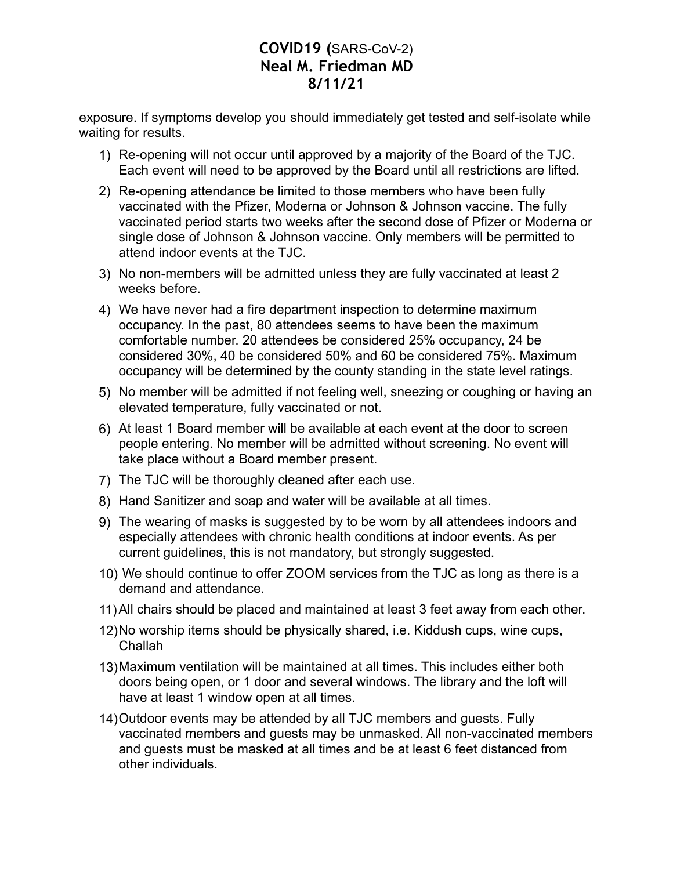exposure. If symptoms develop you should immediately get tested and self-isolate while waiting for results.

- 1) Re-opening will not occur until approved by a majority of the Board of the TJC. Each event will need to be approved by the Board until all restrictions are lifted.
- 2) Re-opening attendance be limited to those members who have been fully vaccinated with the Pfizer, Moderna or Johnson & Johnson vaccine. The fully vaccinated period starts two weeks after the second dose of Pfizer or Moderna or single dose of Johnson & Johnson vaccine. Only members will be permitted to attend indoor events at the TJC.
- 3) No non-members will be admitted unless they are fully vaccinated at least 2 weeks before.
- 4) We have never had a fire department inspection to determine maximum occupancy. In the past, 80 attendees seems to have been the maximum comfortable number. 20 attendees be considered 25% occupancy, 24 be considered 30%, 40 be considered 50% and 60 be considered 75%. Maximum occupancy will be determined by the county standing in the state level ratings.
- 5) No member will be admitted if not feeling well, sneezing or coughing or having an elevated temperature, fully vaccinated or not.
- 6) At least 1 Board member will be available at each event at the door to screen people entering. No member will be admitted without screening. No event will take place without a Board member present.
- 7) The TJC will be thoroughly cleaned after each use.
- 8) Hand Sanitizer and soap and water will be available at all times.
- 9) The wearing of masks is suggested by to be worn by all attendees indoors and especially attendees with chronic health conditions at indoor events. As per current guidelines, this is not mandatory, but strongly suggested.
- 10) We should continue to offer ZOOM services from the TJC as long as there is a demand and attendance.
- 11)All chairs should be placed and maintained at least 3 feet away from each other.
- 12)No worship items should be physically shared, i.e. Kiddush cups, wine cups, Challah
- 13)Maximum ventilation will be maintained at all times. This includes either both doors being open, or 1 door and several windows. The library and the loft will have at least 1 window open at all times.
- 14)Outdoor events may be attended by all TJC members and guests. Fully vaccinated members and guests may be unmasked. All non-vaccinated members and guests must be masked at all times and be at least 6 feet distanced from other individuals.